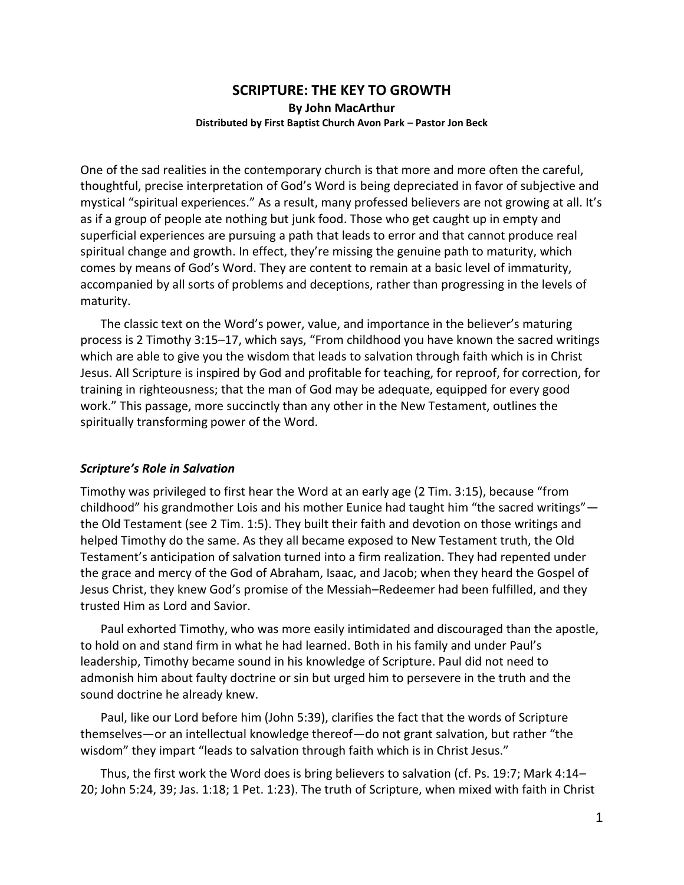## **SCRIPTURE: THE KEY TO GROWTH By John MacArthur Distributed by First Baptist Church Avon Park – Pastor Jon Beck**

One of the sad realities in the contemporary church is that more and more often the careful, thoughtful, precise interpretation of God's Word is being depreciated in favor of subjective and mystical "spiritual experiences." As a result, many professed believers are not growing at all. It's as if a group of people ate nothing but junk food. Those who get caught up in empty and superficial experiences are pursuing a path that leads to error and that cannot produce real spiritual change and growth. In effect, they're missing the genuine path to maturity, which comes by means of God's Word. They are content to remain at a basic level of immaturity, accompanied by all sorts of problems and deceptions, rather than progressing in the levels of maturity.

The classic text on the Word's power, value, and importance in the believer's maturing process is 2 Timothy 3:15–17, which says, "From childhood you have known the sacred writings which are able to give you the wisdom that leads to salvation through faith which is in Christ Jesus. All Scripture is inspired by God and profitable for teaching, for reproof, for correction, for training in righteousness; that the man of God may be adequate, equipped for every good work." This passage, more succinctly than any other in the New Testament, outlines the spiritually transforming power of the Word.

### *Scripture's Role in Salvation*

Timothy was privileged to first hear the Word at an early age (2 Tim. 3:15), because "from childhood" his grandmother Lois and his mother Eunice had taught him "the sacred writings" the Old Testament (see 2 Tim. 1:5). They built their faith and devotion on those writings and helped Timothy do the same. As they all became exposed to New Testament truth, the Old Testament's anticipation of salvation turned into a firm realization. They had repented under the grace and mercy of the God of Abraham, Isaac, and Jacob; when they heard the Gospel of Jesus Christ, they knew God's promise of the Messiah–Redeemer had been fulfilled, and they trusted Him as Lord and Savior.

Paul exhorted Timothy, who was more easily intimidated and discouraged than the apostle, to hold on and stand firm in what he had learned. Both in his family and under Paul's leadership, Timothy became sound in his knowledge of Scripture. Paul did not need to admonish him about faulty doctrine or sin but urged him to persevere in the truth and the sound doctrine he already knew.

Paul, like our Lord before him (John 5:39), clarifies the fact that the words of Scripture themselves—or an intellectual knowledge thereof—do not grant salvation, but rather "the wisdom" they impart "leads to salvation through faith which is in Christ Jesus."

Thus, the first work the Word does is bring believers to salvation (cf. Ps. 19:7; Mark 4:14– 20; John 5:24, 39; Jas. 1:18; 1 Pet. 1:23). The truth of Scripture, when mixed with faith in Christ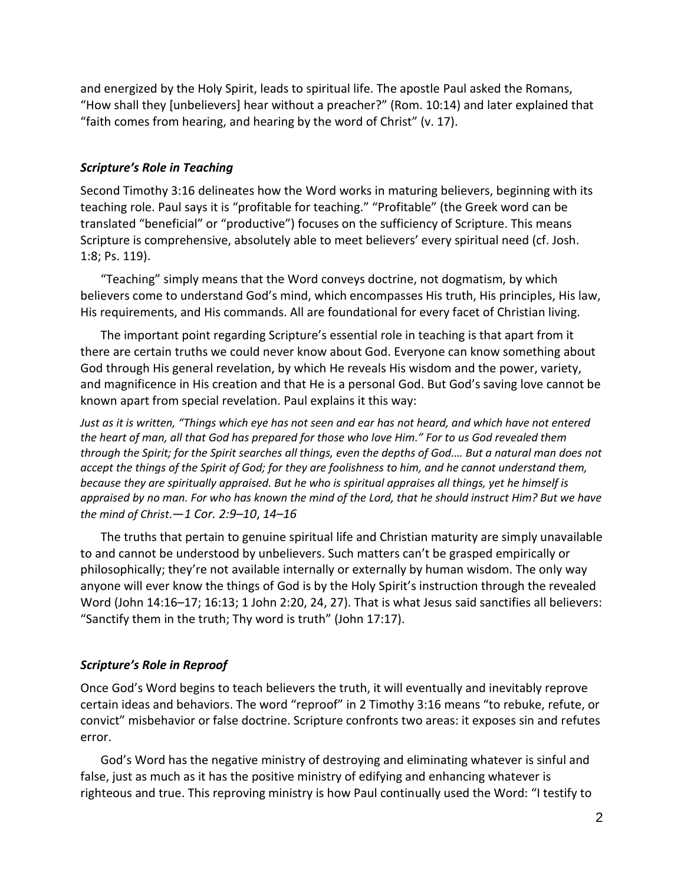and energized by the Holy Spirit, leads to spiritual life. The apostle Paul asked the Romans, "How shall they [unbelievers] hear without a preacher?" (Rom. 10:14) and later explained that "faith comes from hearing, and hearing by the word of Christ" (v. 17).

# *Scripture's Role in Teaching*

Second Timothy 3:16 delineates how the Word works in maturing believers, beginning with its teaching role. Paul says it is "profitable for teaching." "Profitable" (the Greek word can be translated "beneficial" or "productive") focuses on the sufficiency of Scripture. This means Scripture is comprehensive, absolutely able to meet believers' every spiritual need (cf. Josh. 1:8; Ps. 119).

"Teaching" simply means that the Word conveys doctrine, not dogmatism, by which believers come to understand God's mind, which encompasses His truth, His principles, His law, His requirements, and His commands. All are foundational for every facet of Christian living.

The important point regarding Scripture's essential role in teaching is that apart from it there are certain truths we could never know about God. Everyone can know something about God through His general revelation, by which He reveals His wisdom and the power, variety, and magnificence in His creation and that He is a personal God. But God's saving love cannot be known apart from special revelation. Paul explains it this way:

*Just as it is written, "Things which eye has not seen and ear has not heard, and which have not entered the heart of man, all that God has prepared for those who love Him." For to us God revealed them through the Spirit; for the Spirit searches all things, even the depths of God.… But a natural man does not accept the things of the Spirit of God; for they are foolishness to him, and he cannot understand them, because they are spiritually appraised. But he who is spiritual appraises all things, yet he himself is appraised by no man. For who has known the mind of the Lord, that he should instruct Him? But we have the mind of Christ*.—*1 Cor. 2:9–10*, *14–16*

The truths that pertain to genuine spiritual life and Christian maturity are simply unavailable to and cannot be understood by unbelievers. Such matters can't be grasped empirically or philosophically; they're not available internally or externally by human wisdom. The only way anyone will ever know the things of God is by the Holy Spirit's instruction through the revealed Word (John 14:16–17; 16:13; 1 John 2:20, 24, 27). That is what Jesus said sanctifies all believers: "Sanctify them in the truth; Thy word is truth" (John 17:17).

# *Scripture's Role in Reproof*

Once God's Word begins to teach believers the truth, it will eventually and inevitably reprove certain ideas and behaviors. The word "reproof" in 2 Timothy 3:16 means "to rebuke, refute, or convict" misbehavior or false doctrine. Scripture confronts two areas: it exposes sin and refutes error.

God's Word has the negative ministry of destroying and eliminating whatever is sinful and false, just as much as it has the positive ministry of edifying and enhancing whatever is righteous and true. This reproving ministry is how Paul continually used the Word: "I testify to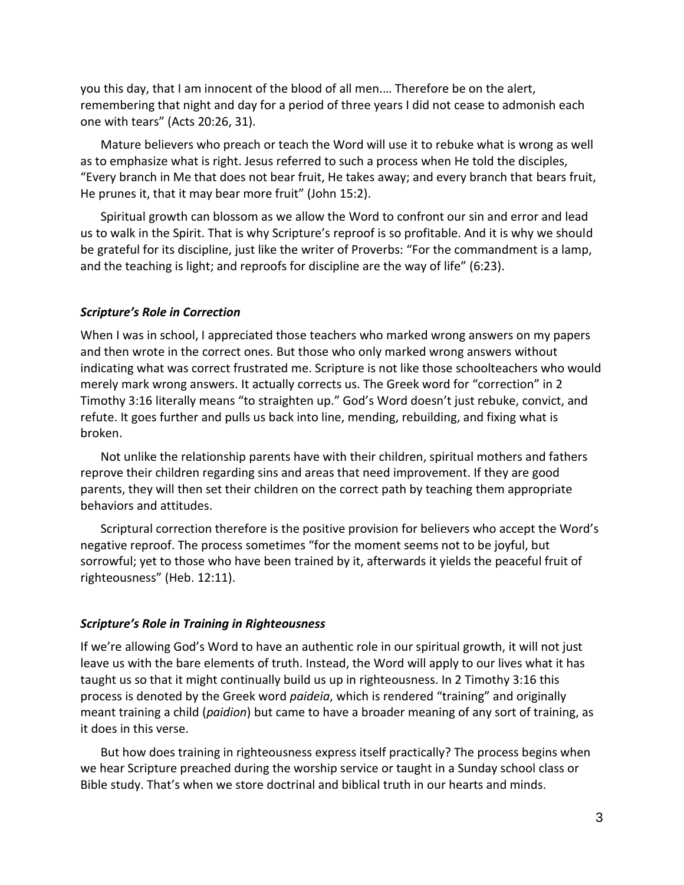you this day, that I am innocent of the blood of all men.… Therefore be on the alert, remembering that night and day for a period of three years I did not cease to admonish each one with tears" (Acts 20:26, 31).

Mature believers who preach or teach the Word will use it to rebuke what is wrong as well as to emphasize what is right. Jesus referred to such a process when He told the disciples, "Every branch in Me that does not bear fruit, He takes away; and every branch that bears fruit, He prunes it, that it may bear more fruit" (John 15:2).

Spiritual growth can blossom as we allow the Word to confront our sin and error and lead us to walk in the Spirit. That is why Scripture's reproof is so profitable. And it is why we should be grateful for its discipline, just like the writer of Proverbs: "For the commandment is a lamp, and the teaching is light; and reproofs for discipline are the way of life" (6:23).

### *Scripture's Role in Correction*

When I was in school, I appreciated those teachers who marked wrong answers on my papers and then wrote in the correct ones. But those who only marked wrong answers without indicating what was correct frustrated me. Scripture is not like those schoolteachers who would merely mark wrong answers. It actually corrects us. The Greek word for "correction" in 2 Timothy 3:16 literally means "to straighten up." God's Word doesn't just rebuke, convict, and refute. It goes further and pulls us back into line, mending, rebuilding, and fixing what is broken.

Not unlike the relationship parents have with their children, spiritual mothers and fathers reprove their children regarding sins and areas that need improvement. If they are good parents, they will then set their children on the correct path by teaching them appropriate behaviors and attitudes.

Scriptural correction therefore is the positive provision for believers who accept the Word's negative reproof. The process sometimes "for the moment seems not to be joyful, but sorrowful; yet to those who have been trained by it, afterwards it yields the peaceful fruit of righteousness" (Heb. 12:11).

#### *Scripture's Role in Training in Righteousness*

If we're allowing God's Word to have an authentic role in our spiritual growth, it will not just leave us with the bare elements of truth. Instead, the Word will apply to our lives what it has taught us so that it might continually build us up in righteousness. In 2 Timothy 3:16 this process is denoted by the Greek word *paideia*, which is rendered "training" and originally meant training a child (*paidion*) but came to have a broader meaning of any sort of training, as it does in this verse.

But how does training in righteousness express itself practically? The process begins when we hear Scripture preached during the worship service or taught in a Sunday school class or Bible study. That's when we store doctrinal and biblical truth in our hearts and minds.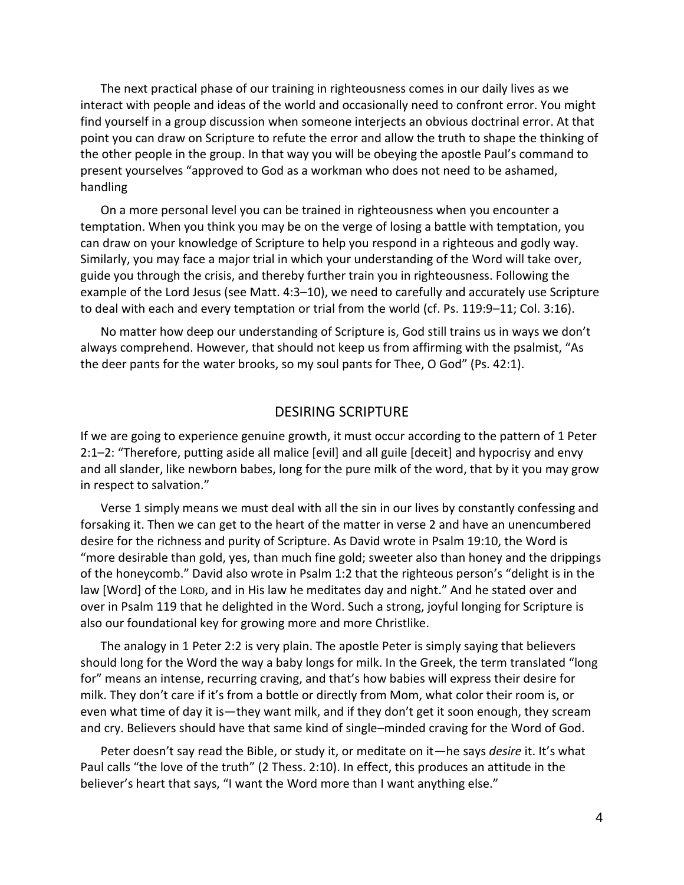The next practical phase of our training in righteousness comes in our daily lives as we interact with people and ideas of the world and occasionally need to confront error. You might find yourself in a group discussion when someone interjects an obvious doctrinal error. At that point you can draw on Scripture to refute the error and allow the truth to shape the thinking of the other people in the group. In that way you will be obeying the apostle Paul's command to present yourselves "approved to God as a workman who does not need to be ashamed, handling

On a more personal level you can be trained in righteousness when you encounter a temptation. When you think you may be on the verge of losing a battle with temptation, you can draw on your knowledge of Scripture to help you respond in a righteous and godly way. Similarly, you may face a major trial in which your understanding of the Word will take over, guide you through the crisis, and thereby further train you in righteousness. Following the example of the Lord Jesus (see Matt. 4:3–10), we need to carefully and accurately use Scripture to deal with each and every temptation or trial from the world (cf. Ps. 119:9–11; Col. 3:16).

No matter how deep our understanding of Scripture is, God still trains us in ways we don't always comprehend. However, that should not keep us from affirming with the psalmist, "As the deer pants for the water brooks, so my soul pants for Thee, O God" (Ps. 42:1).

## DESIRING SCRIPTURE

If we are going to experience genuine growth, it must occur according to the pattern of 1 Peter 2:1–2: "Therefore, putting aside all malice [evil] and all guile [deceit] and hypocrisy and envy and all slander, like newborn babes, long for the pure milk of the word, that by it you may grow in respect to salvation."

Verse 1 simply means we must deal with all the sin in our lives by constantly confessing and forsaking it. Then we can get to the heart of the matter in verse 2 and have an unencumbered desire for the richness and purity of Scripture. As David wrote in Psalm 19:10, the Word is "more desirable than gold, yes, than much fine gold; sweeter also than honey and the drippings of the honeycomb." David also wrote in Psalm 1:2 that the righteous person's "delight is in the law [Word] of the LORD, and in His law he meditates day and night." And he stated over and over in Psalm 119 that he delighted in the Word. Such a strong, joyful longing for Scripture is also our foundational key for growing more and more Christlike.

The analogy in 1 Peter 2:2 is very plain. The apostle Peter is simply saying that believers should long for the Word the way a baby longs for milk. In the Greek, the term translated "long for" means an intense, recurring craving, and that's how babies will express their desire for milk. They don't care if it's from a bottle or directly from Mom, what color their room is, or even what time of day it is—they want milk, and if they don't get it soon enough, they scream and cry. Believers should have that same kind of single–minded craving for the Word of God.

Peter doesn't say read the Bible, or study it, or meditate on it—he says *desire* it. It's what Paul calls "the love of the truth" (2 Thess. 2:10). In effect, this produces an attitude in the believer's heart that says, "I want the Word more than I want anything else."